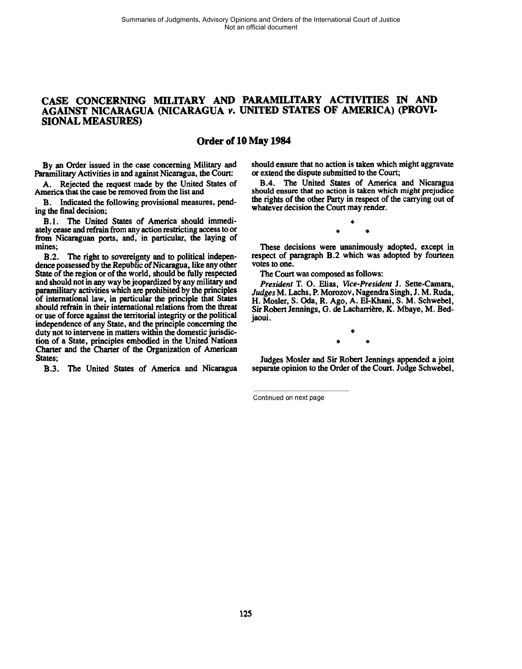# **CASE CONCERNING MILITARY AND PARAMILITARY ACTIVITIES IN AND AGAINST NICARAGUA (NICARAGUA**  $\nu$ **. UNITED STATES OF AMERICA) (PROVI-SIONAL MEASURES)**

# **Order of 10 May 1984**

By an Order issued in the case concerning Military and Paramilitary Activities in and against Nicaragua, the Court:

A. Rejected the request made by the United States of America that the case **be** removed from the list and

**B.** Indicated the following provisional measures, pending the final decision;

B.1. The United States of America should immediately cease and refrain from *any* action restricting access **to** or from Nicaraguan ports, and, in particular, the laying of mines;

B.2. The right **to** sovereignty and to political independence possessed by the Republic of Nicaragua, like any other State of the region or of the world, should be fully respected and should not in any way be jeopardized by any military and paramilitary activities which are prohibited by the principles of international law, in particular the principle that States should refrain in their international relations from the threat or use of force against the **tenitorial** integrity or the political independence of any State, and the principle concerning the duty not to intervene in matters within the domestic jurisdiction of a **State,** principles enhodied in the lJnited Nations Charter and the Charter of the Organization of American States;

B.3. The United States of America and Nicaragua

should ensure that no action is taken which might aggravate or extend the dispute submitted to the Court;

**B.4.** The United States of America and Nicaragua should ensure that no action is taken which might prejudice the rights of the other Party in respect of the carrying out of whatever decision the Court may render.

These decisions were unanimously adopted, except in respect of paragraph B.2 which was adopted by fourteen votes to one.

The Court was composed as follows:

*President T.* **0.** Elias, *Vice-President* J. Sette-Canara, *Judges* M. Lachs, *P.* Morozov, Nagendra Singh, J. M. Ruda, H. Mosler, S. **Oda,** R. Ago, A. El-Khani, S. M. Schwebel, Sir Robert Jennings, G. de Lacharrière, K. Mbaye, M. Bedjaoui.

Judges Mosler and Sir Robert Jennings appended a joint separate opinion to the Order of the Court. Judge Schwebel,

Continued on next page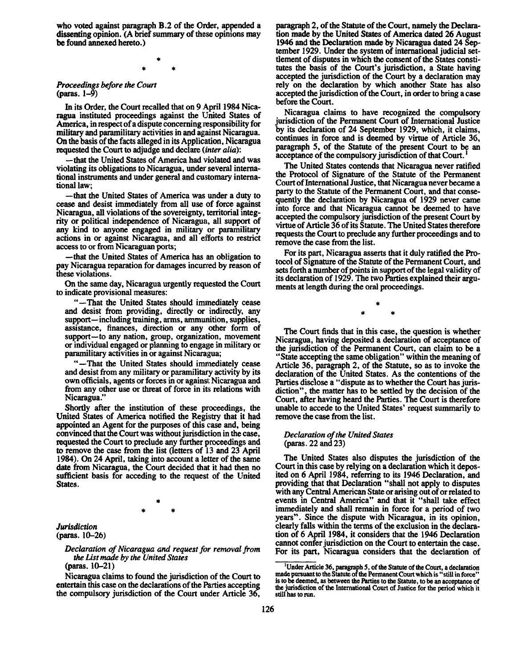who voted against paragraph B.2 of the Order, appended a dissenting opinion. **(A brief summary of these opinions may** be found annexed hereto.)

# Proceedings before the Court (paras. 1-9)

In its Order, the Court recalled that on 9 April 1984 Nicaragua instituted proceedings against the United States of America, in respect of a dispute concerning responsibility for military and paramilitary activities in and against Nicaragua. On the basis of the facts alleged in its Application, Nicaragua. requested the Court to adjudge and declare (inter alia):

-that the United States of America had 'violated and was violating its obligations to Nicaragua, under several international instruments and under general and customary international law;

that the United States of America was under a duty to cease and desist immediately from all use of force against Nicaragua, all violations of the sovereignty, territorial integrity or political independence of Nicaragua, all support of any kind to anyone engaged in military or paramilitary actions in or against Nicaragua, and all elfforts to restrict access to or from Nicaraguan ports;

-that the United States of America has an obligation to pay Nicaragua reparation for damages incunred by reason of these violations.

On the same day, Nicaragua urgently requested the Court to indicate provisional measures:

"-That the United States should immediately cease and desist from providing, directly or indirectly, any support-including training, arms, ammunition, supplies, assistance, finances, direction or any other form of support-to any nation, group, organization, movement or individual engaged or planning **to** engage in military or paramilitary activities in or against Nicaragua;

"-That the United States should immediately cease and desist from any military or paramilitary activity by its own officials, agents or forces in or against: Nicaragua and from any other use or threat of force in its relations with Nicaragua."

Shortly after the institution of these proceedings, the United States of America notified the Registry that it had appointed an Agent for the purposes of this **case** and, being convinced that the Court was without jurisdiction in the case, requested the Court to preclude any further proceedings and to remove the case from the list (letters of 13 and 23 April 1984). On 24 April. taking into account a letter of the same date from Nicaragua, the Court decided that it had then no sufficient basis for acceding to the request of the United States.

# **Jurisdiction** (paras. 10-26)

Declaration of Nicaragua **and** request for removal from the List made by the United States (paras. 10-21)

Nicaragua claims to found the jurisdiction of the Court to entertain this case on the declarations of the Parties accepting the compulsory jurisdiction of the Court under Article 36,

paragraph 2, of the Statute of the Court, namely the Declaration made by the United States of America **dated** 26 August 1946 and the Declaration made by Nicaragua dated 24 September 1929. Under the system of international judicial settlement of disputes in which the consent of the States constitutes the basis of the Court's jurisdiction, a State having accepted the jurisdiction of the Court by a declaration may rely on the declaration by which another State has also accepted the jurisdiction of the Court, in order to bring a case before the Court.

Nicaragua claims to have recognized the compulsory jurisdiction of the Permanent Court of International Justice by its declaration of 24 September 1929, which, it claims, continues in force and is deemed by virtue of Article 36, paragraph 5, of the Statute of the present Court to be an acceptance of the compulsory jurisdiction of that Court.

The United States contends that Nicaragua never ratified the Protocol of Signature of the Statute of the Permanent Court of International Justice, that Nicaragua never became a party to the Statute of the Permanent Court, and that consequently the declaration by Nicaragua of 1929 never came into force and that Nicaragua cannot be deemed to have accepted the compullsory jurisdiction of the present Court by virtue of Article 36 of its Statute. The United States therefore requests the Court **to** preclude any further proceedings and **to**  remove the case from the list.

For its part, Nicaragua asserts that it duly ratified the Protocol of Signature of the Statute of the Permanent Court, and sets forth a number of points in support of the legal validity of its declaration of 1929. The two Parties explained their arguments at length during the oral proceedings.

The Court finds **that** in this case, the question is whether Nicaragua, having deposited a declaration of acceptance of the jurisdiction of the Permanent Court, can claim to be a "State accepting the same obligation" within the meaning of Article 36, paragraph 2, of the Statute, so as to invoke the declaration of the United States. As the contentions of the Parties disclose a "dispute as to whether the Court has jurisdiction", the matter has to be settled by the decision of the Court, after having heard the Parties. The Court is therefore unable to accede to the United States' request summarily **to**  remove the case from the list.

# Declaration of the United States (paras. 22 and 23)

The United States also disputes the jurisdiction of the Court in this case by relying on a declaration which it deposited on 6 April 1984, refemng to its 1946 Declaration, and providing that that Declaration "shall not apply to disputes with any Central American State or arising out of or related to events in Central America" and that it "shall take effect immediately and shall remain in force for a period of two years". Since the dispute with Nicaragua, in its opinion, clearly falls within the terms of **the** exclusion in the declaration of 6 April 1984, it considers that the 1946 Declaration cannot confer jurisdiction on the Court to entertain the case. For its part, Nicaragua considers that the declaration of

<sup>&</sup>lt;sup>1</sup>Under Article 36, paragraph 5, of the Statute of the Court, a declaration made pursuant to the Statute of the Permanent Court which is "still in force" **is to be deemed, as between the Parties to the Statute, to be an acceptance of the jurisdiction of the International Court of Justice for the period which it still lm to run.**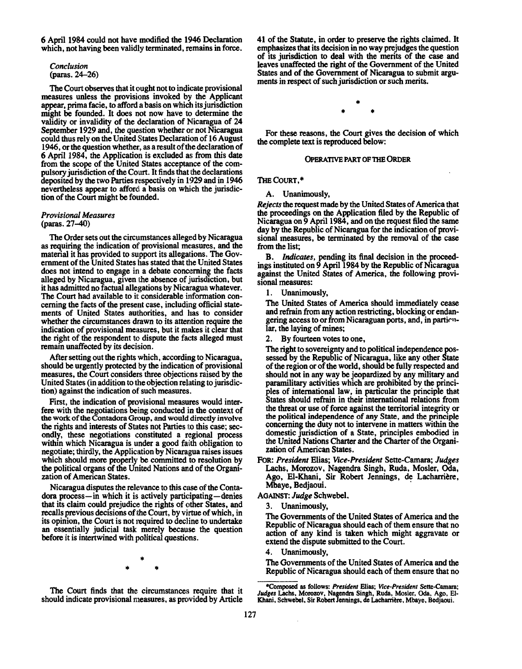6 April 1984 could not have modified the 1946 Declaration which, not having been validly terminated, remains in force.

*Conclusion*  (paras. 24-26)

The Court observes that it ought not to indicate provisional measures unless the provisions invoked by the Applicant appear, prima facie, to afford a basis on which its jurisdiction might be founded. It does not now have to determine the validity or invalidity of the declaration of Nicaragua of 24 September 1929 and, **the** question whether **or** not Nicaragua could thus rely on the United States Declaration of 16 August 1946, or the question whether, as aresult of the declaration of 6 April 1984, the Application is excluded as from this date from the scope of the United States acceptance of the compulsory jurisdiction of the Court. It finds that ithe declarations deposited by the two Parties respectively in 1929 and in 1946 nevertheless appear to afford a basis on which the jurisdiction of the Court might be founded.

# *Provisional Measures*  (paras. 27-40)

The Order sets out the circumstances alleged by Nicaragua as requiring the indication of provisional measures, and the material it has provided to support its allegations. The Government of the United States has stated that the United States does not intend to engage in a debate concerning the facts alleged by Nicaragua, given the absence of jurisdiction, but it has admitted no factual allegations by Nicaragua whatever. The Court had available to it considerable information concerning the facts of the present case, including official statements of United States authorities, and has to consider whether the circumstances drawn to its attention require the indication of provisional measures, but it makes it clear that the right of the respondent **to** dispute the facts alleged must remain unaffected by its decision.

After setting out the rights which, according to Nicaragua, should be urgently protected by the indication of provisional measures, the Court considers three objections raised by the United States (in addition to the objection relating to jurisdiction) against the indication **of** such measures.

First, the indication of provisional measures would interfere with the negotiations being conducted in the context of **the work of the Contadora Ciroup, and would directly involve**  the rights and interests of States not Parties 1:o this case; **sec**ondly, these negotiations constituted a regional process within which Nicaragua is under a good faith obligation to negotiate; thirdly, the Application by Nicaragua raises issues which should more properly be committed to resolution by the political organs of the United Nations and of the Organization of American States.

Nicaragua disputes the relevance to this case of the Contadora process-in which it is actively participating-denies that its claim could prejudice the rights of other States, and recalls previous decisions of the Court, by virtue of which, in its opinion, the Court is not required to decline to undertake **an** essentially judicial task: merely because the question before it is intertwined with political questions.

should indicate provisional measures, as provided by Article

41 of the Statute, in order to preserve the rights claimed. It emphasizes that its decision in no way prejudges the question of its jurisdiction to deal with the merits of the case and leaves unaffected the right of the Government of the United States and of the Government of Nicaragua to submit arguments in respect of such jurisdiction or such merits.

For these reasons, the Court gives the decision of which the complete text is reproduced below:

### **OPERATIVE PART OF THE ORDER**

THE COURT.\*

A. Unanimously,

*Rejects* the request made by the United States of America that the proceedings on the Application filed by the Republic of Nicaragua on 9 April 1984, and on the request filed the same day by the Republic of Nicaragua for the indication of provisional measures, be terminated by the removal of the case from the list;

B. *Indicates,* pending its final decision in the proceedings instituted on 9 April 1984 by the Republic of Nicaragua against the United States of America, the following provisional measures:

1. 'Unanimously,

The United States of America should immediately cease and refrain from any action restricting, blocking or endangering access to or from Nicaraguan ports, and, in partirnlar, the laying of mines;

By fourteen votes to one,

The right to sovereignty and to political independence possessed by the Republic of Nicaragua, like any other State of the region or of the world, should be fully respected and should not in any way be jeopardized by any military and paramilitary activities which are prohibited by the principles of international law, in particular the principle that States should refrain in their international relations from the threat or use of force against the territorial integrity or the political independence of **any State.** and the principle concerning the duty not to intervene in matters within the domestic jurisdiction of a State, principles embodied in the IJnited Nations Charter and the Charter of the Organization of American States.

*FOR: President* Elias; *Vice-President* Sette-Camara; *Judges*  Lachs, Morozov, Nagendra Singh, Ruda, Mosler, Oda, Ago, El-Khani, Sir Robert Jennings, de Lacharrière, Mbaye, Bedjaoui.

AGAINST: *Judge* Schwebel.

3. Unanimously,

The Governments of the United States of America and the Republic of Nicaragua should each of them ensure that no action of any kind is taken which might aggravate or extend the dispute submitted to the Court.

4. Unanimously,

The Governments of the United States of America and the Republic of Nicaragua should each of them ensure that no

The Court finds that the circumstances require that it "Composed as follows: President Elias; Vice-President Sette-Camara;<br>Ould indicate provisional measures, as provided by Article Khani, Schwebel, Sir Robert Jennings, de